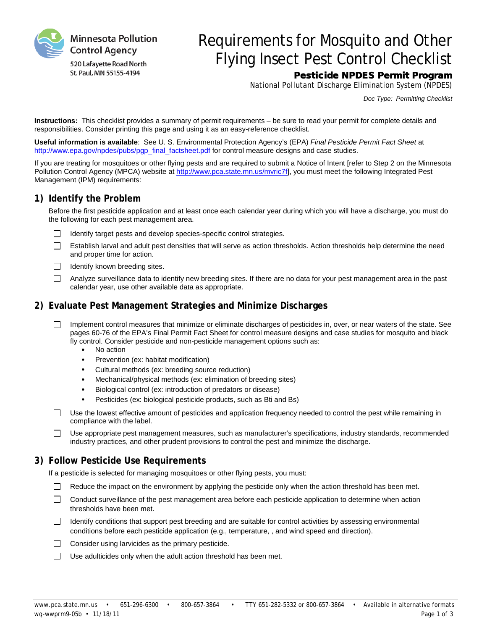

# Requirements for Mosquito and Other Flying Insect Pest Control Checklist

# Pesticide NPDES Permit Program

National Pollutant Discharge Elimination System (NPDES)

*Doc Type: Permitting Checklist*

**Instructions:** This checklist provides a summary of permit requirements – be sure to read your permit for complete details and responsibilities. Consider printing this page and using it as an easy-reference checklist.

**Useful information is available**: See U. S. Environmental Protection Agency's (EPA) *Final Pesticide Permit Fact Sheet* at [http://www.epa.gov/npdes/pubs/pgp\\_final\\_factsheet.pdf](http://www.epa.gov/npdes/pubs/pgp_final_factsheet.pdf) for control measure designs and case studies.

If you are treating for mosquitoes or other flying pests and are required to submit a Notice of Intent [refer to Step 2 on the Minnesota Pollution Control Agency (MPCA) website at [http://www.pca.state.mn.us/mvric7f\],](http://www.pca.state.mn.us/mvric7f) you must meet the following Integrated Pest Management (IPM) requirements:

# **1) Identify the Problem**

Before the first pesticide application and at least once each calendar year during which you will have a discharge, you must do the following for each pest management area.

- $\Box$  Identify target pests and develop species-specific control strategies.
- $\Box$ Establish larval and adult pest densities that will serve as action thresholds. Action thresholds help determine the need and proper time for action.
- $\Box$  Identify known breeding sites.
- $\Box$ Analyze surveillance data to identify new breeding sites. If there are no data for your pest management area in the past calendar year, use other available data as appropriate.

# **2) Evaluate Pest Management Strategies and Minimize Discharges**

- Implement control measures that minimize or eliminate discharges of pesticides in, over, or near waters of the state. See  $\Box$ pages 60-76 of the EPA's Final Permit Fact Sheet for control measure designs and case studies for mosquito and black fly control. Consider pesticide and non-pesticide management options such as:
	- No action
	- Prevention (ex: habitat modification)
	- Cultural methods (ex: breeding source reduction)
	- Mechanical/physical methods (ex: elimination of breeding sites)
	- Biological control (ex: introduction of predators or disease)
	- Pesticides (ex: biological pesticide products, such as Bti and Bs)
- $\Box$  Use the lowest effective amount of pesticides and application frequency needed to control the pest while remaining in compliance with the label.
- $\Box$ Use appropriate pest management measures, such as manufacturer's specifications, industry standards, recommended industry practices, and other prudent provisions to control the pest and minimize the discharge.

#### **3) Follow Pesticide Use Requirements**

If a pesticide is selected for managing mosquitoes or other flying pests, you must:

- $\Box$ Reduce the impact on the environment by applying the pesticide only when the action threshold has been met.
- Conduct surveillance of the pest management area before each pesticide application to determine when action thresholds have been met.
- Identify conditions that support pest breeding and are suitable for control activities by assessing environmental П. conditions before each pesticide application (e.g., temperature, , and wind speed and direction).
- $\Box$ Consider using larvicides as the primary pesticide.
- $\Box$ Use adulticides only when the adult action threshold has been met.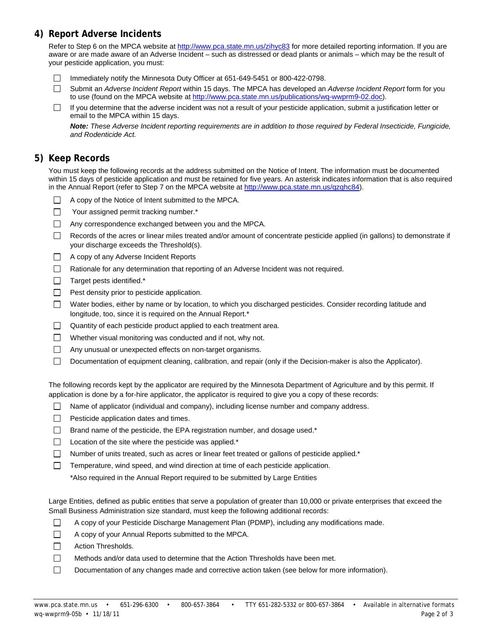# **4) Report Adverse Incidents**

Refer to Step 6 on the MPCA website at<http://www.pca.state.mn.us/zihyc83> for more detailed reporting information. If you are aware or are made aware of an Adverse Incident – such as distressed or dead plants or animals – which may be the result of your pesticide application, you must:

- Immediately notify the Minnesota Duty Officer at 651-649-5451 or 800-422-0798. П.
- П. Submit an *Adverse Incident Report* within 15 days. The MPCA has developed an *Adverse Incident Report* form for you to use (found on the MPCA website at [http://www.pca.state.mn.us/publications/wq-wwprm9-02.doc\)](http://www.pca.state.mn.us/publications/wq-wwprm9-02.doc).
- If you determine that the adverse incident was not a result of your pesticide application, submit a justification letter or  $\Box$ email to the MPCA within 15 days.

*Note: These Adverse Incident reporting requirements are in addition to those required by Federal Insecticide, Fungicide, and Rodenticide Act.*

# **5) Keep Records**

You must keep the following records at the address submitted on the Notice of Intent. The information must be documented within 15 days of pesticide application and must be retained for five years. An asterisk indicates information that is also required in the Annual Report (refer to Step 7 on the MPCA website at [http://www.pca.state.mn.us/qzqhc84\)](http://www.pca.state.mn.us/qzqhc84).

- A copy of the Notice of Intent submitted to the MPCA.
- $\Box$ Your assigned permit tracking number.\*
- Any correspondence exchanged between you and the MPCA.
- $\Box$ Records of the acres or linear miles treated and/or amount of concentrate pesticide applied (in gallons) to demonstrate if your discharge exceeds the Threshold(s).
- □ A copy of any Adverse Incident Reports
- $\Box$  Rationale for any determination that reporting of an Adverse Incident was not required.
- $\Box$  Target pests identified.\*
- $\Box$  Pest density prior to pesticide application.
- $\Box$ Water bodies, either by name or by location, to which you discharged pesticides. Consider recording latitude and longitude, too, since it is required on the Annual Report.\*
- Quantity of each pesticide product applied to each treatment area. П.
- $\Box$  Whether visual monitoring was conducted and if not, why not.
- $\Box$ Any unusual or unexpected effects on non-target organisms.
- $\Box$ Documentation of equipment cleaning, calibration, and repair (only if the Decision-maker is also the Applicator).

The following records kept by the applicator are required by the Minnesota Department of Agriculture and by this permit. If application is done by a for-hire applicator, the applicator is required to give you a copy of these records:

- $\Box$ Name of applicator (individual and company), including license number and company address.
- $\Box$  Pesticide application dates and times.
- $\Box$  Brand name of the pesticide, the EPA registration number, and dosage used.\*
- $\Box$  Location of the site where the pesticide was applied.\*
- $\Box$  Number of units treated, such as acres or linear feet treated or gallons of pesticide applied.\*
- $\Box$ Temperature, wind speed, and wind direction at time of each pesticide application.

\*Also required in the Annual Report required to be submitted by Large Entities

Large Entities, defined as public entities that serve a population of greater than 10,000 or private enterprises that exceed the Small Business Administration size standard, must keep the following additional records:

- П A copy of your Pesticide Discharge Management Plan (PDMP), including any modifications made.
- $\Box$ A copy of your Annual Reports submitted to the MPCA.
- П Action Thresholds.
- $\Box$ Methods and/or data used to determine that the Action Thresholds have been met.
- $\Box$ Documentation of any changes made and corrective action taken (see below for more information).